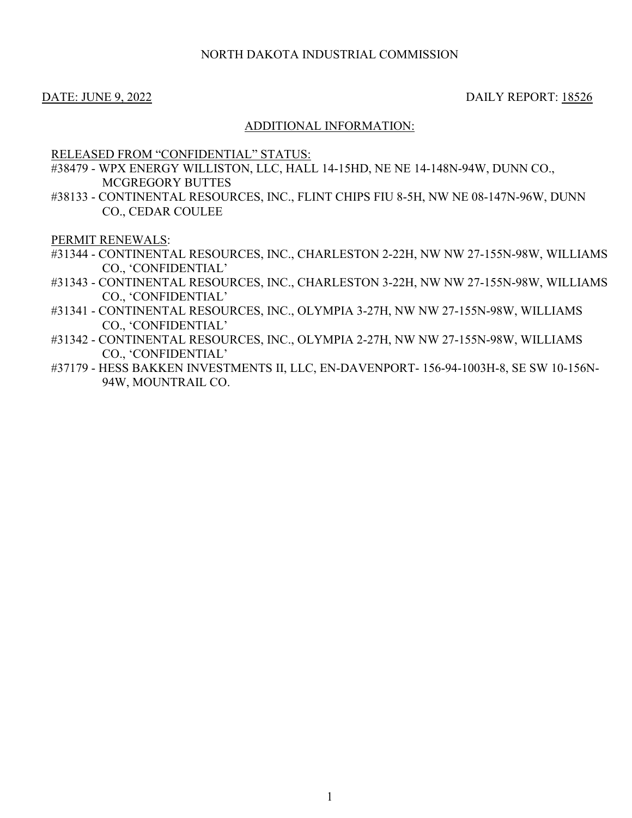## NORTH DAKOTA INDUSTRIAL COMMISSION

#### DATE: JUNE 9, 2022 DAILY REPORT: 18526

## ADDITIONAL INFORMATION:

#### RELEASED FROM "CONFIDENTIAL" STATUS:

- #38479 WPX ENERGY WILLISTON, LLC, HALL 14-15HD, NE NE 14-148N-94W, DUNN CO., MCGREGORY BUTTES
- #38133 CONTINENTAL RESOURCES, INC., FLINT CHIPS FIU 8-5H, NW NE 08-147N-96W, DUNN CO., CEDAR COULEE

PERMIT RENEWALS:

- #31344 CONTINENTAL RESOURCES, INC., CHARLESTON 2-22H, NW NW 27-155N-98W, WILLIAMS CO., 'CONFIDENTIAL'
- #31343 CONTINENTAL RESOURCES, INC., CHARLESTON 3-22H, NW NW 27-155N-98W, WILLIAMS CO., 'CONFIDENTIAL'
- #31341 CONTINENTAL RESOURCES, INC., OLYMPIA 3-27H, NW NW 27-155N-98W, WILLIAMS CO., 'CONFIDENTIAL'
- #31342 CONTINENTAL RESOURCES, INC., OLYMPIA 2-27H, NW NW 27-155N-98W, WILLIAMS CO., 'CONFIDENTIAL'
- #37179 HESS BAKKEN INVESTMENTS II, LLC, EN-DAVENPORT- 156-94-1003H-8, SE SW 10-156N-94W, MOUNTRAIL CO.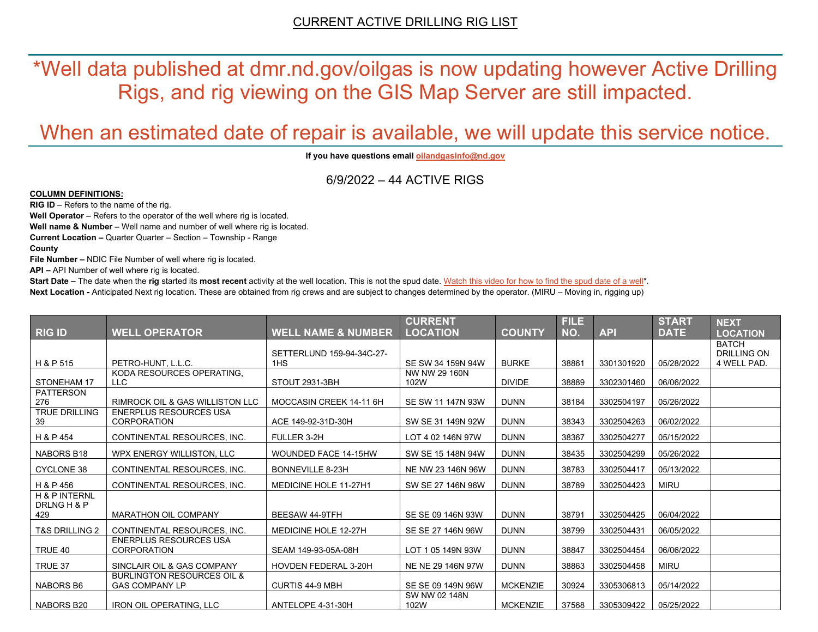\*Well data published at dmr.nd.gov/oilgas is now updating however Active Drilling Rigs, and rig viewing on the GIS Map Server are still impacted.

# When an estimated date of repair is available, we will update this service notice.

**If you have questions emai[l oilandgasinfo@nd.gov](mailto:oilandgasinfo@nd.gov)**

6/9/2022 – 44 ACTIVE RIGS

#### **COLUMN DEFINITIONS:**

**RIG ID** – Refers to the name of the rig.

**Well Operator** – Refers to the operator of the well where rig is located.

**Well name & Number** – Well name and number of well where rig is located.

**Current Location –** Quarter Quarter – Section – Township - Range

**County**

**File Number –** NDIC File Number of well where rig is located.

**API –** API Number of well where rig is located.

**Start Date** – The date when the **rig** started its most recent activity at the well location. This is not the spud date. Watch this video for how [to find the spud date of a well\\*](https://youtu.be/JjWwzuuMVpM). **Next Location -** Anticipated Next rig location. These are obtained from rig crews and are subject to changes determined by the operator. (MIRU – Moving in, rigging up)

|                                                |                                                                |                               | <b>CURRENT</b>        |                 | <b>FILE</b> |            | <b>START</b> | <b>NEXT</b>                        |
|------------------------------------------------|----------------------------------------------------------------|-------------------------------|-----------------------|-----------------|-------------|------------|--------------|------------------------------------|
| <b>RIG ID</b>                                  | <b>WELL OPERATOR</b>                                           | <b>WELL NAME &amp; NUMBER</b> | <b>LOCATION</b>       | <b>COUNTY</b>   | NO.         | <b>API</b> | <b>DATE</b>  | <b>LOCATION</b>                    |
|                                                |                                                                | SETTERLUND 159-94-34C-27-     |                       |                 |             |            |              | <b>BATCH</b><br><b>DRILLING ON</b> |
| H & P 515                                      | PETRO-HUNT. L.L.C.                                             | 1HS                           | SE SW 34 159N 94W     | <b>BURKE</b>    | 38861       | 3301301920 | 05/28/2022   | 4 WELL PAD.                        |
| <b>STONEHAM 17</b>                             | KODA RESOURCES OPERATING.<br><b>LLC</b>                        | STOUT 2931-3BH                | NW NW 29 160N<br>102W | <b>DIVIDE</b>   | 38889       | 3302301460 | 06/06/2022   |                                    |
| <b>PATTERSON</b><br>276                        | <b>RIMROCK OIL &amp; GAS WILLISTON LLC</b>                     | MOCCASIN CREEK 14-11 6H       | SE SW 11 147N 93W     | <b>DUNN</b>     | 38184       | 3302504197 | 05/26/2022   |                                    |
| <b>TRUE DRILLING</b><br>39                     | <b>ENERPLUS RESOURCES USA</b><br><b>CORPORATION</b>            | ACE 149-92-31D-30H            | SW SE 31 149N 92W     | <b>DUNN</b>     | 38343       | 3302504263 | 06/02/2022   |                                    |
| H & P 454                                      | CONTINENTAL RESOURCES, INC.                                    | FULLER 3-2H                   | LOT 4 02 146N 97W     | <b>DUNN</b>     | 38367       | 3302504277 | 05/15/2022   |                                    |
| NABORS B18                                     | WPX ENERGY WILLISTON, LLC                                      | <b>WOUNDED FACE 14-15HW</b>   | SW SE 15 148N 94W     | <b>DUNN</b>     | 38435       | 3302504299 | 05/26/2022   |                                    |
| <b>CYCLONE 38</b>                              | CONTINENTAL RESOURCES, INC.                                    | <b>BONNEVILLE 8-23H</b>       | NE NW 23 146N 96W     | <b>DUNN</b>     | 38783       | 3302504417 | 05/13/2022   |                                    |
| H & P 456                                      | CONTINENTAL RESOURCES. INC.                                    | <b>MEDICINE HOLE 11-27H1</b>  | SW SE 27 146N 96W     | <b>DUNN</b>     | 38789       | 3302504423 | <b>MIRU</b>  |                                    |
| <b>H &amp; P INTERNL</b><br>DRLNG H & P<br>429 | <b>MARATHON OIL COMPANY</b>                                    | BEESAW 44-9TFH                | SE SE 09 146N 93W     | <b>DUNN</b>     | 38791       | 3302504425 | 06/04/2022   |                                    |
| <b>T&amp;S DRILLING 2</b>                      | CONTINENTAL RESOURCES. INC.                                    | MEDICINE HOLE 12-27H          | SE SE 27 146N 96W     | <b>DUNN</b>     | 38799       | 3302504431 | 06/05/2022   |                                    |
| TRUE 40                                        | <b>ENERPLUS RESOURCES USA</b><br><b>CORPORATION</b>            | SEAM 149-93-05A-08H           | LOT 1 05 149N 93W     | <b>DUNN</b>     | 38847       | 3302504454 | 06/06/2022   |                                    |
| TRUE 37                                        | SINCLAIR OIL & GAS COMPANY                                     | <b>HOVDEN FEDERAL 3-20H</b>   | NE NE 29 146N 97W     | <b>DUNN</b>     | 38863       | 3302504458 | <b>MIRU</b>  |                                    |
| <b>NABORS B6</b>                               | <b>BURLINGTON RESOURCES OIL &amp;</b><br><b>GAS COMPANY LP</b> | <b>CURTIS 44-9 MBH</b>        | SE SE 09 149N 96W     | <b>MCKENZIE</b> | 30924       | 3305306813 | 05/14/2022   |                                    |
| NABORS B20                                     | <b>IRON OIL OPERATING. LLC</b>                                 | ANTELOPE 4-31-30H             | SW NW 02 148N<br>102W | <b>MCKENZIE</b> | 37568       | 3305309422 | 05/25/2022   |                                    |